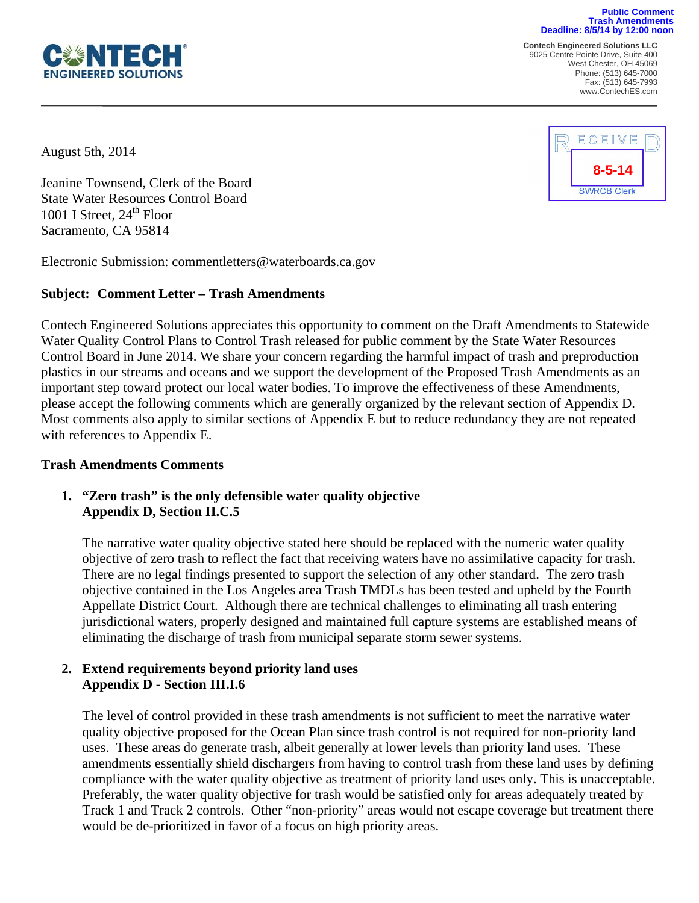

**Contech Engineered Solutions LLC**  9025 Centre Pointe Drive, Suite 400 **Trash Amendments Deadline: 8/5/14 by 12:00 noon**

**Public Comment**

West Chester, OH 45069 Phone: (513) 645-7000 Fax: (513) 645-7993 www.ContechES.com

August 5th, 2014

 $\overline{a}$ 

Jeanine Townsend, Clerk of the Board State Water Resources Control Board 1001 I Street,  $24<sup>th</sup>$  Floor Sacramento, CA 95814

Electronic Submission: commentletters@waterboards.ca.gov

#### **Subject: Comment Letter – Trash Amendments**

Contech Engineered Solutions appreciates this opportunity to comment on the Draft Amendments to Statewide Water Quality Control Plans to Control Trash released for public comment by the State Water Resources Control Board in June 2014. We share your concern regarding the harmful impact of trash and preproduction plastics in our streams and oceans and we support the development of the Proposed Trash Amendments as an important step toward protect our local water bodies. To improve the effectiveness of these Amendments, please accept the following comments which are generally organized by the relevant section of Appendix D. Most comments also apply to similar sections of Appendix E but to reduce redundancy they are not repeated with references to Appendix E.

#### **Trash Amendments Comments**

## **1. "Zero trash" is the only defensible water quality objective Appendix D, Section II.C.5**

The narrative water quality objective stated here should be replaced with the numeric water quality objective of zero trash to reflect the fact that receiving waters have no assimilative capacity for trash. There are no legal findings presented to support the selection of any other standard. The zero trash objective contained in the Los Angeles area Trash TMDLs has been tested and upheld by the Fourth Appellate District Court. Although there are technical challenges to eliminating all trash entering jurisdictional waters, properly designed and maintained full capture systems are established means of eliminating the discharge of trash from municipal separate storm sewer systems.

#### **2. Extend requirements beyond priority land uses Appendix D - Section III.I.6**

The level of control provided in these trash amendments is not sufficient to meet the narrative water quality objective proposed for the Ocean Plan since trash control is not required for non-priority land uses. These areas do generate trash, albeit generally at lower levels than priority land uses. These amendments essentially shield dischargers from having to control trash from these land uses by defining compliance with the water quality objective as treatment of priority land uses only. This is unacceptable. Preferably, the water quality objective for trash would be satisfied only for areas adequately treated by Track 1 and Track 2 controls. Other "non-priority" areas would not escape coverage but treatment there would be de-prioritized in favor of a focus on high priority areas.

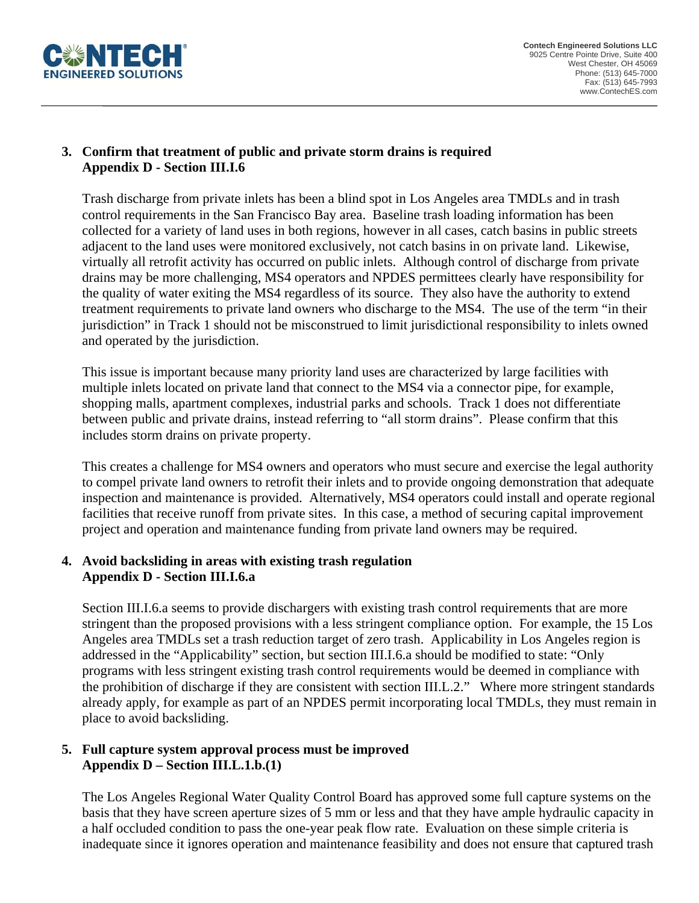

## **3. Confirm that treatment of public and private storm drains is required Appendix D - Section III.I.6**

Trash discharge from private inlets has been a blind spot in Los Angeles area TMDLs and in trash control requirements in the San Francisco Bay area. Baseline trash loading information has been collected for a variety of land uses in both regions, however in all cases, catch basins in public streets adjacent to the land uses were monitored exclusively, not catch basins in on private land. Likewise, virtually all retrofit activity has occurred on public inlets. Although control of discharge from private drains may be more challenging, MS4 operators and NPDES permittees clearly have responsibility for the quality of water exiting the MS4 regardless of its source. They also have the authority to extend treatment requirements to private land owners who discharge to the MS4. The use of the term "in their jurisdiction" in Track 1 should not be misconstrued to limit jurisdictional responsibility to inlets owned and operated by the jurisdiction.

This issue is important because many priority land uses are characterized by large facilities with multiple inlets located on private land that connect to the MS4 via a connector pipe, for example, shopping malls, apartment complexes, industrial parks and schools. Track 1 does not differentiate between public and private drains, instead referring to "all storm drains". Please confirm that this includes storm drains on private property.

This creates a challenge for MS4 owners and operators who must secure and exercise the legal authority to compel private land owners to retrofit their inlets and to provide ongoing demonstration that adequate inspection and maintenance is provided. Alternatively, MS4 operators could install and operate regional facilities that receive runoff from private sites. In this case, a method of securing capital improvement project and operation and maintenance funding from private land owners may be required.

## **4. Avoid backsliding in areas with existing trash regulation Appendix D - Section III.I.6.a**

Section III.I.6.a seems to provide dischargers with existing trash control requirements that are more stringent than the proposed provisions with a less stringent compliance option. For example, the 15 Los Angeles area TMDLs set a trash reduction target of zero trash. Applicability in Los Angeles region is addressed in the "Applicability" section, but section III.I.6.a should be modified to state: "Only programs with less stringent existing trash control requirements would be deemed in compliance with the prohibition of discharge if they are consistent with section III.L.2." Where more stringent standards already apply, for example as part of an NPDES permit incorporating local TMDLs, they must remain in place to avoid backsliding.

## **5. Full capture system approval process must be improved Appendix D – Section III.L.1.b.(1)**

The Los Angeles Regional Water Quality Control Board has approved some full capture systems on the basis that they have screen aperture sizes of 5 mm or less and that they have ample hydraulic capacity in a half occluded condition to pass the one-year peak flow rate. Evaluation on these simple criteria is inadequate since it ignores operation and maintenance feasibility and does not ensure that captured trash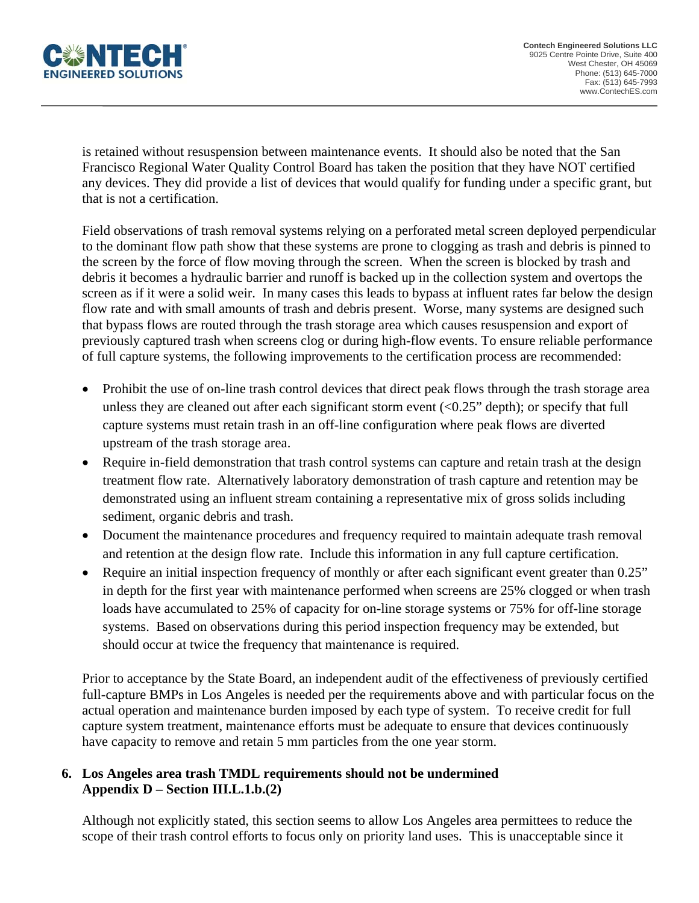

is retained without resuspension between maintenance events. It should also be noted that the San Francisco Regional Water Quality Control Board has taken the position that they have NOT certified any devices. They did provide a list of devices that would qualify for funding under a specific grant, but that is not a certification.

Field observations of trash removal systems relying on a perforated metal screen deployed perpendicular to the dominant flow path show that these systems are prone to clogging as trash and debris is pinned to the screen by the force of flow moving through the screen. When the screen is blocked by trash and debris it becomes a hydraulic barrier and runoff is backed up in the collection system and overtops the screen as if it were a solid weir. In many cases this leads to bypass at influent rates far below the design flow rate and with small amounts of trash and debris present. Worse, many systems are designed such that bypass flows are routed through the trash storage area which causes resuspension and export of previously captured trash when screens clog or during high-flow events. To ensure reliable performance of full capture systems, the following improvements to the certification process are recommended:

- Prohibit the use of on-line trash control devices that direct peak flows through the trash storage area unless they are cleaned out after each significant storm event  $( $0.25$ " depth)$ ; or specify that full capture systems must retain trash in an off-line configuration where peak flows are diverted upstream of the trash storage area.
- Require in-field demonstration that trash control systems can capture and retain trash at the design treatment flow rate. Alternatively laboratory demonstration of trash capture and retention may be demonstrated using an influent stream containing a representative mix of gross solids including sediment, organic debris and trash.
- Document the maintenance procedures and frequency required to maintain adequate trash removal and retention at the design flow rate. Include this information in any full capture certification.
- Require an initial inspection frequency of monthly or after each significant event greater than 0.25" in depth for the first year with maintenance performed when screens are 25% clogged or when trash loads have accumulated to 25% of capacity for on-line storage systems or 75% for off-line storage systems. Based on observations during this period inspection frequency may be extended, but should occur at twice the frequency that maintenance is required.

Prior to acceptance by the State Board, an independent audit of the effectiveness of previously certified full-capture BMPs in Los Angeles is needed per the requirements above and with particular focus on the actual operation and maintenance burden imposed by each type of system. To receive credit for full capture system treatment, maintenance efforts must be adequate to ensure that devices continuously have capacity to remove and retain 5 mm particles from the one year storm.

## **6. Los Angeles area trash TMDL requirements should not be undermined Appendix D – Section III.L.1.b.(2)**

Although not explicitly stated, this section seems to allow Los Angeles area permittees to reduce the scope of their trash control efforts to focus only on priority land uses. This is unacceptable since it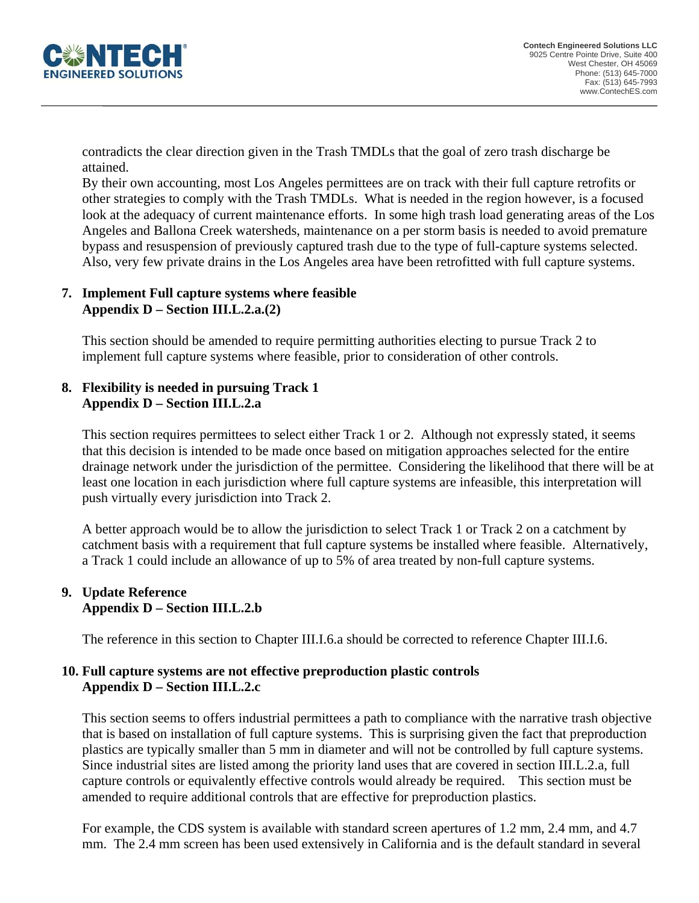

contradicts the clear direction given in the Trash TMDLs that the goal of zero trash discharge be attained.

By their own accounting, most Los Angeles permittees are on track with their full capture retrofits or other strategies to comply with the Trash TMDLs. What is needed in the region however, is a focused look at the adequacy of current maintenance efforts. In some high trash load generating areas of the Los Angeles and Ballona Creek watersheds, maintenance on a per storm basis is needed to avoid premature bypass and resuspension of previously captured trash due to the type of full-capture systems selected. Also, very few private drains in the Los Angeles area have been retrofitted with full capture systems.

# **7. Implement Full capture systems where feasible Appendix D – Section III.L.2.a.(2)**

This section should be amended to require permitting authorities electing to pursue Track 2 to implement full capture systems where feasible, prior to consideration of other controls.

# **8. Flexibility is needed in pursuing Track 1 Appendix D – Section III.L.2.a**

This section requires permittees to select either Track 1 or 2. Although not expressly stated, it seems that this decision is intended to be made once based on mitigation approaches selected for the entire drainage network under the jurisdiction of the permittee. Considering the likelihood that there will be at least one location in each jurisdiction where full capture systems are infeasible, this interpretation will push virtually every jurisdiction into Track 2.

A better approach would be to allow the jurisdiction to select Track 1 or Track 2 on a catchment by catchment basis with a requirement that full capture systems be installed where feasible. Alternatively, a Track 1 could include an allowance of up to 5% of area treated by non-full capture systems.

## **9. Update Reference Appendix D – Section III.L.2.b**

The reference in this section to Chapter III.I.6.a should be corrected to reference Chapter III.I.6.

## **10. Full capture systems are not effective preproduction plastic controls Appendix D – Section III.L.2.c**

This section seems to offers industrial permittees a path to compliance with the narrative trash objective that is based on installation of full capture systems. This is surprising given the fact that preproduction plastics are typically smaller than 5 mm in diameter and will not be controlled by full capture systems. Since industrial sites are listed among the priority land uses that are covered in section III.L.2.a, full capture controls or equivalently effective controls would already be required. This section must be amended to require additional controls that are effective for preproduction plastics.

For example, the CDS system is available with standard screen apertures of 1.2 mm, 2.4 mm, and 4.7 mm. The 2.4 mm screen has been used extensively in California and is the default standard in several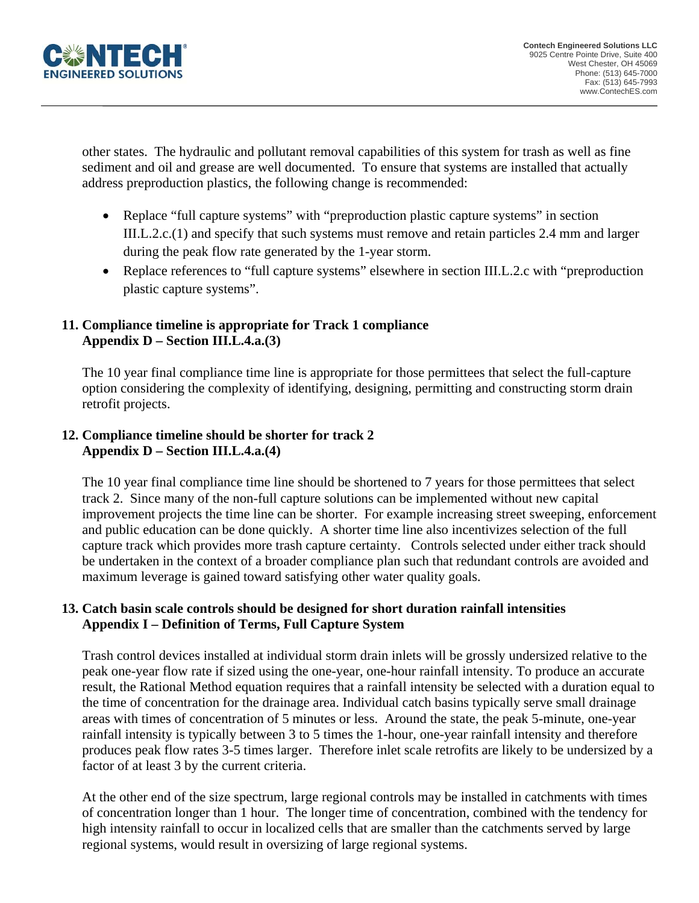

other states. The hydraulic and pollutant removal capabilities of this system for trash as well as fine sediment and oil and grease are well documented. To ensure that systems are installed that actually address preproduction plastics, the following change is recommended:

- Replace "full capture systems" with "preproduction plastic capture systems" in section III.L.2.c.(1) and specify that such systems must remove and retain particles 2.4 mm and larger during the peak flow rate generated by the 1-year storm.
- Replace references to "full capture systems" elsewhere in section III.L.2.c with "preproduction" plastic capture systems".

#### **11. Compliance timeline is appropriate for Track 1 compliance Appendix D – Section III.L.4.a.(3)**

The 10 year final compliance time line is appropriate for those permittees that select the full-capture option considering the complexity of identifying, designing, permitting and constructing storm drain retrofit projects.

## **12. Compliance timeline should be shorter for track 2 Appendix D – Section III.L.4.a.(4)**

The 10 year final compliance time line should be shortened to 7 years for those permittees that select track 2. Since many of the non-full capture solutions can be implemented without new capital improvement projects the time line can be shorter. For example increasing street sweeping, enforcement and public education can be done quickly. A shorter time line also incentivizes selection of the full capture track which provides more trash capture certainty. Controls selected under either track should be undertaken in the context of a broader compliance plan such that redundant controls are avoided and maximum leverage is gained toward satisfying other water quality goals.

## **13. Catch basin scale controls should be designed for short duration rainfall intensities Appendix I – Definition of Terms, Full Capture System**

Trash control devices installed at individual storm drain inlets will be grossly undersized relative to the peak one-year flow rate if sized using the one-year, one-hour rainfall intensity. To produce an accurate result, the Rational Method equation requires that a rainfall intensity be selected with a duration equal to the time of concentration for the drainage area. Individual catch basins typically serve small drainage areas with times of concentration of 5 minutes or less. Around the state, the peak 5-minute, one-year rainfall intensity is typically between 3 to 5 times the 1-hour, one-year rainfall intensity and therefore produces peak flow rates 3-5 times larger. Therefore inlet scale retrofits are likely to be undersized by a factor of at least 3 by the current criteria.

At the other end of the size spectrum, large regional controls may be installed in catchments with times of concentration longer than 1 hour. The longer time of concentration, combined with the tendency for high intensity rainfall to occur in localized cells that are smaller than the catchments served by large regional systems, would result in oversizing of large regional systems.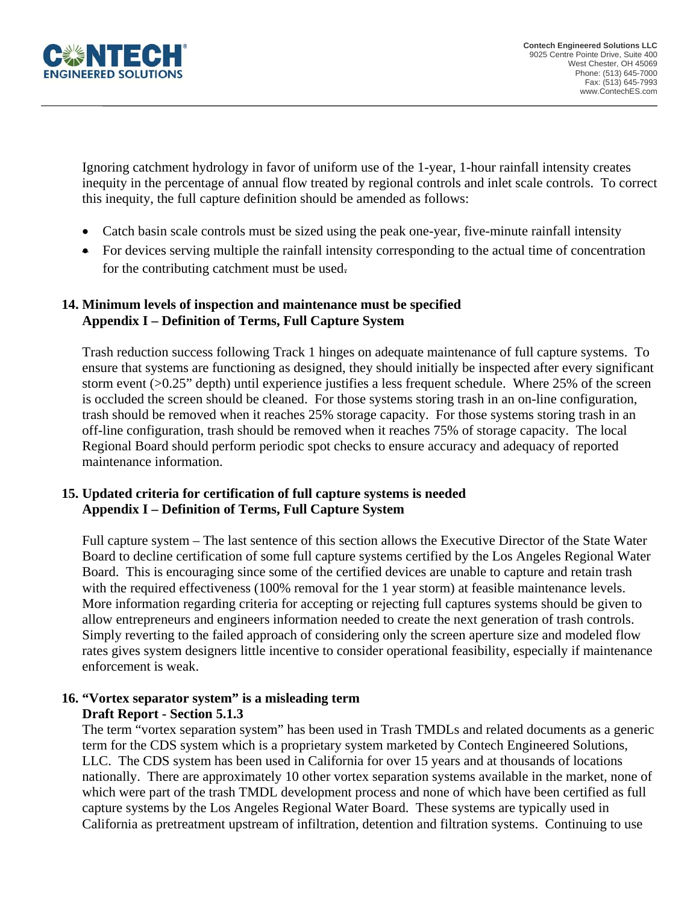

Ignoring catchment hydrology in favor of uniform use of the 1-year, 1-hour rainfall intensity creates inequity in the percentage of annual flow treated by regional controls and inlet scale controls. To correct this inequity, the full capture definition should be amended as follows:

- Catch basin scale controls must be sized using the peak one-year, five-minute rainfall intensity
- For devices serving multiple the rainfall intensity corresponding to the actual time of concentration for the contributing catchment must be used.

## **14. Minimum levels of inspection and maintenance must be specified Appendix I – Definition of Terms, Full Capture System**

Trash reduction success following Track 1 hinges on adequate maintenance of full capture systems. To ensure that systems are functioning as designed, they should initially be inspected after every significant storm event (>0.25" depth) until experience justifies a less frequent schedule. Where 25% of the screen is occluded the screen should be cleaned. For those systems storing trash in an on-line configuration, trash should be removed when it reaches 25% storage capacity. For those systems storing trash in an off-line configuration, trash should be removed when it reaches 75% of storage capacity. The local Regional Board should perform periodic spot checks to ensure accuracy and adequacy of reported maintenance information.

## **15. Updated criteria for certification of full capture systems is needed Appendix I – Definition of Terms, Full Capture System**

Full capture system – The last sentence of this section allows the Executive Director of the State Water Board to decline certification of some full capture systems certified by the Los Angeles Regional Water Board. This is encouraging since some of the certified devices are unable to capture and retain trash with the required effectiveness (100% removal for the 1 year storm) at feasible maintenance levels. More information regarding criteria for accepting or rejecting full captures systems should be given to allow entrepreneurs and engineers information needed to create the next generation of trash controls. Simply reverting to the failed approach of considering only the screen aperture size and modeled flow rates gives system designers little incentive to consider operational feasibility, especially if maintenance enforcement is weak.

## **16. "Vortex separator system" is a misleading term Draft Report - Section 5.1.3**

The term "vortex separation system" has been used in Trash TMDLs and related documents as a generic term for the CDS system which is a proprietary system marketed by Contech Engineered Solutions, LLC. The CDS system has been used in California for over 15 years and at thousands of locations nationally. There are approximately 10 other vortex separation systems available in the market, none of which were part of the trash TMDL development process and none of which have been certified as full capture systems by the Los Angeles Regional Water Board. These systems are typically used in California as pretreatment upstream of infiltration, detention and filtration systems. Continuing to use